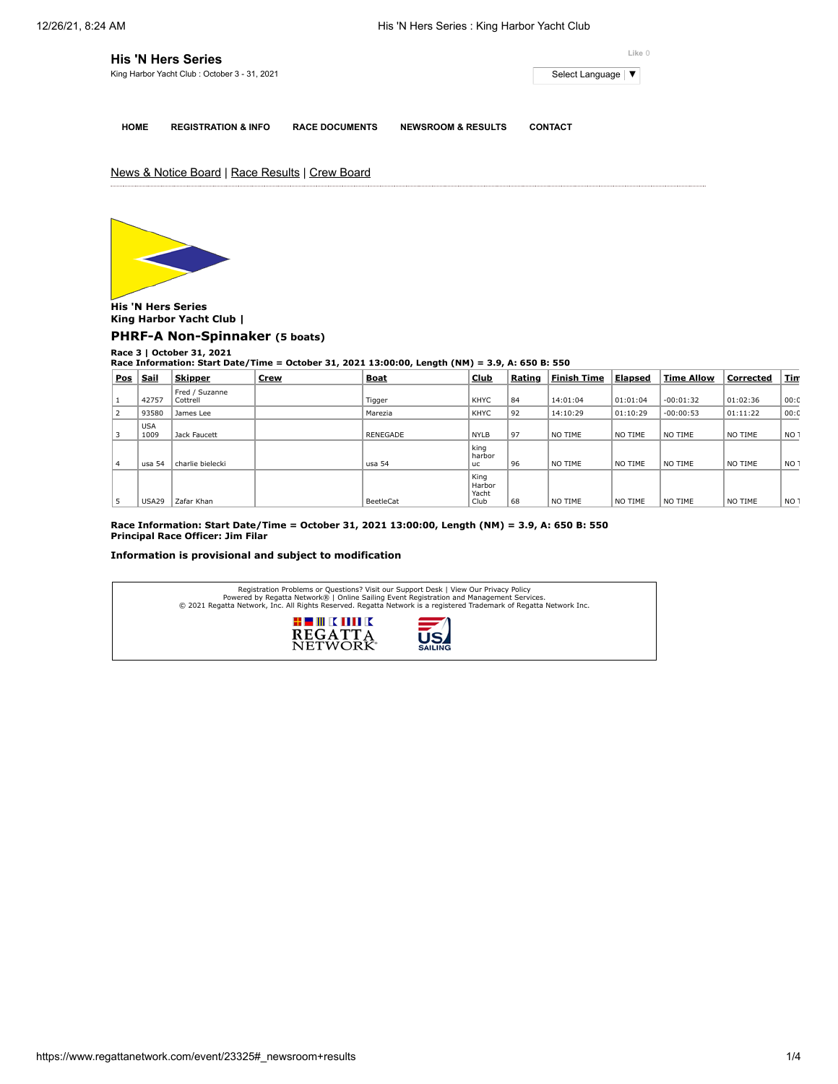| <b>His 'N Hers Series</b>                    | Like 0              |
|----------------------------------------------|---------------------|
| King Harbor Yacht Club: October 3 - 31, 2021 | Select Language   ▼ |
|                                              |                     |

**HOME REGISTRATION & INFO RACE DOCUMENTS NEWSROOM & RESULTS CONTACT**

News & Notice Board | Race Results | Crew Board



**His 'N Hers Series King Harbor Yacht Club | [PHRF-A Non-Spinnaker](https://www.regattanetwork.com/clubmgmt/applet_race_scores.php?regatta_id=23325&race_num=3&fleet=PHRF-A+Non-Spinnaker&show_crew=1) (5 boats)**

**Race 3 | October 31, 2021 Race Information: Start Date/Time = October 31, 2021 13:00:00, Length (NM) = 3.9, A: 650 B: 550**

| <b>Pos</b> | <b>Sail</b>        | <b>Skipper</b>             | <b>Crew</b> | <b>Boat</b> | <b>Club</b>                 | Rating | <b>Finish Time</b> | <b>Elapsed</b> | <b>Time Allow</b> | Corrected | <u>Tin</u>      |
|------------|--------------------|----------------------------|-------------|-------------|-----------------------------|--------|--------------------|----------------|-------------------|-----------|-----------------|
|            | 42757              | Fred / Suzanne<br>Cottrell |             | Tigger      | KHYC                        | 84     | 14:01:04           | 01:01:04       | $-00:01:32$       | 01:02:36  | 00:0            |
| 2          | 93580              | James Lee                  |             | Marezia     | <b>KHYC</b>                 | 92     | 14:10:29           | 01:10:29       | $-00:00:53$       | 01:11:22  | 00:0            |
|            | <b>USA</b><br>1009 | Jack Faucett               |             | RENEGADE    | <b>NYLB</b>                 | 97     | NO TIME            | NO TIME        | NO TIME           | NO TIME   | NO <sub>1</sub> |
| 4          | usa 54             | charlie bielecki           |             | usa 54      | king<br>harbor<br><b>uc</b> | 96     | NO TIME            | NO TIME        | NO TIME           | NO TIME   | NO <sub>1</sub> |
|            |                    |                            |             |             | King<br>Harbor<br>Yacht     |        |                    |                |                   |           |                 |
| 5          | <b>USA29</b>       | Zafar Khan                 |             | BeetleCat   | Club                        | 68     | NO TIME            | NO TIME        | NO TIME           | NO TIME   | NO <sub>1</sub> |

**Race Information: Start Date/Time = October 31, 2021 13:00:00, Length (NM) = 3.9, A: 650 B: 550 Principal Race Officer: Jim Filar**

**Information is provisional and subject to modification**

| Registration Problems or Questions? Visit our Support Desk   View Our Privacy Policy<br>Powered by Regatta Network®   Online Sailing Event Registration and Management Services.<br>© 2021 Regatta Network, Inc. All Rights Reserved. Regatta Network is a registered Trademark of Regatta Network Inc. |
|---------------------------------------------------------------------------------------------------------------------------------------------------------------------------------------------------------------------------------------------------------------------------------------------------------|
| # III K MILK<br>之<br><b>REGATTA</b><br><b>NETWOK</b><br><b>SAILING</b>                                                                                                                                                                                                                                  |